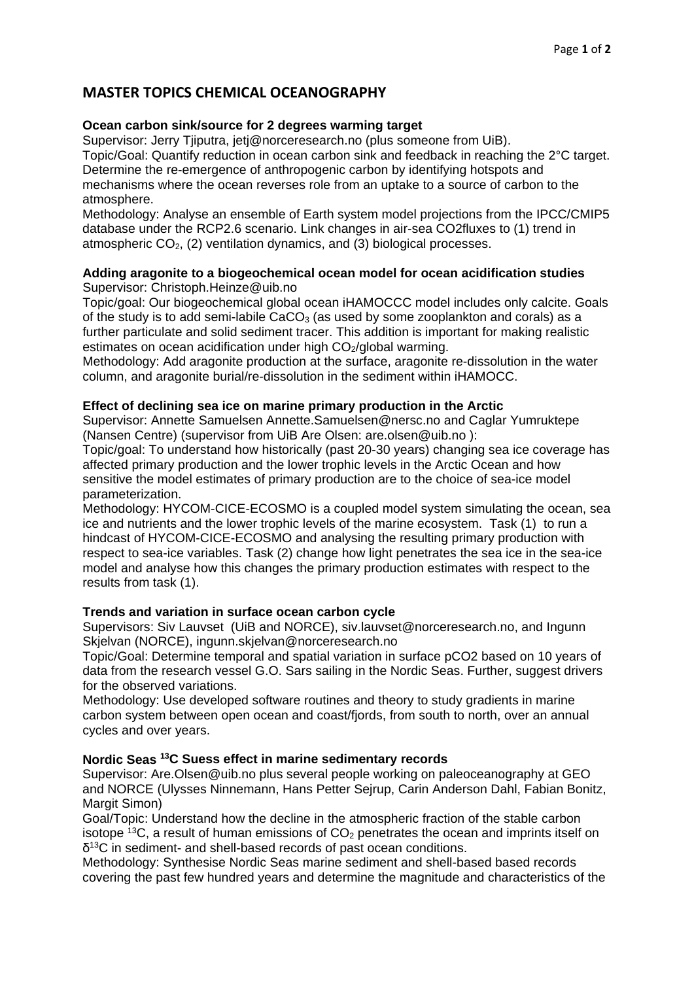# **MASTER TOPICS CHEMICAL OCEANOGRAPHY**

## **Ocean carbon sink/source for 2 degrees warming target**

Supervisor: Jerry Tjiputra, jetj@norceresearch.no (plus someone from UiB). Topic/Goal: Quantify reduction in ocean carbon sink and feedback in reaching the 2°C target. Determine the re-emergence of anthropogenic carbon by identifying hotspots and mechanisms where the ocean reverses role from an uptake to a source of carbon to the atmosphere.

Methodology: Analyse an ensemble of Earth system model projections from the IPCC/CMIP5 database under the RCP2.6 scenario. Link changes in air-sea CO2fluxes to (1) trend in atmospheric  $CO<sub>2</sub>$ , (2) ventilation dynamics, and (3) biological processes.

#### **Adding aragonite to a biogeochemical ocean model for ocean acidification studies** Supervisor: Christoph.Heinze@uib.no

Topic/goal: Our biogeochemical global ocean iHAMOCCC model includes only calcite. Goals of the study is to add semi-labile  $CaCO<sub>3</sub>$  (as used by some zooplankton and corals) as a further particulate and solid sediment tracer. This addition is important for making realistic estimates on ocean acidification under high  $CO<sub>2</sub>/global$  warming.

Methodology: Add aragonite production at the surface, aragonite re-dissolution in the water column, and aragonite burial/re-dissolution in the sediment within iHAMOCC.

## **Effect of declining sea ice on marine primary production in the Arctic**

Supervisor: Annette Samuelsen Annette.Samuelsen@nersc.no and Caglar Yumruktepe (Nansen Centre) (supervisor from UiB Are Olsen: are.olsen@uib.no ):

Topic/goal: To understand how historically (past 20-30 years) changing sea ice coverage has affected primary production and the lower trophic levels in the Arctic Ocean and how sensitive the model estimates of primary production are to the choice of sea-ice model parameterization.

Methodology: HYCOM-CICE-ECOSMO is a coupled model system simulating the ocean, sea ice and nutrients and the lower trophic levels of the marine ecosystem. Task (1) to run a hindcast of HYCOM-CICE-ECOSMO and analysing the resulting primary production with respect to sea-ice variables. Task (2) change how light penetrates the sea ice in the sea-ice model and analyse how this changes the primary production estimates with respect to the results from task (1).

## **Trends and variation in surface ocean carbon cycle**

Supervisors: Siv Lauvset (UiB and NORCE), siv.lauvset@norceresearch.no, and Ingunn Skjelvan (NORCE), ingunn.skjelvan@norceresearch.no

Topic/Goal: Determine temporal and spatial variation in surface pCO2 based on 10 years of data from the research vessel G.O. Sars sailing in the Nordic Seas. Further, suggest drivers for the observed variations.

Methodology: Use developed software routines and theory to study gradients in marine carbon system between open ocean and coast/fjords, from south to north, over an annual cycles and over years.

## **Nordic Seas 13C Suess effect in marine sedimentary records**

Supervisor: Are.Olsen@uib.no plus several people working on paleoceanography at GEO and NORCE (Ulysses Ninnemann, Hans Petter Sejrup, Carin Anderson Dahl, Fabian Bonitz, Margit Simon)

Goal/Topic: Understand how the decline in the atmospheric fraction of the stable carbon isotope  $^{13}$ C, a result of human emissions of  $CO<sub>2</sub>$  penetrates the ocean and imprints itself on δ13C in sediment- and shell-based records of past ocean conditions.

Methodology: Synthesise Nordic Seas marine sediment and shell-based based records covering the past few hundred years and determine the magnitude and characteristics of the